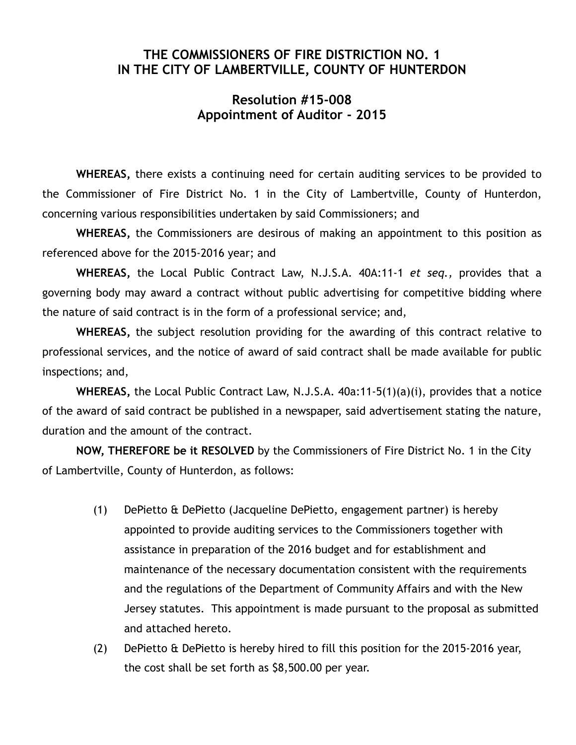## **THE COMMISSIONERS OF FIRE DISTRICTION NO. 1 IN THE CITY OF LAMBERTVILLE, COUNTY OF HUNTERDON**

## **Resolution #15-008 Appointment of Auditor - 2015**

**WHEREAS,** there exists a continuing need for certain auditing services to be provided to the Commissioner of Fire District No. 1 in the City of Lambertville, County of Hunterdon, concerning various responsibilities undertaken by said Commissioners; and

**WHEREAS,** the Commissioners are desirous of making an appointment to this position as referenced above for the 2015-2016 year; and

**WHEREAS,** the Local Public Contract Law, N.J.S.A. 40A:11-1 *et seq.,* provides that a governing body may award a contract without public advertising for competitive bidding where the nature of said contract is in the form of a professional service; and,

**WHEREAS,** the subject resolution providing for the awarding of this contract relative to professional services, and the notice of award of said contract shall be made available for public inspections; and,

**WHEREAS,** the Local Public Contract Law, N.J.S.A. 40a:11-5(1)(a)(i), provides that a notice of the award of said contract be published in a newspaper, said advertisement stating the nature, duration and the amount of the contract.

**NOW, THEREFORE be it RESOLVED** by the Commissioners of Fire District No. 1 in the City of Lambertville, County of Hunterdon, as follows:

- (1) DePietto & DePietto (Jacqueline DePietto, engagement partner) is hereby appointed to provide auditing services to the Commissioners together with assistance in preparation of the 2016 budget and for establishment and maintenance of the necessary documentation consistent with the requirements and the regulations of the Department of Community Affairs and with the New Jersey statutes. This appointment is made pursuant to the proposal as submitted and attached hereto.
- (2) DePietto & DePietto is hereby hired to fill this position for the 2015-2016 year, the cost shall be set forth as \$8,500.00 per year.